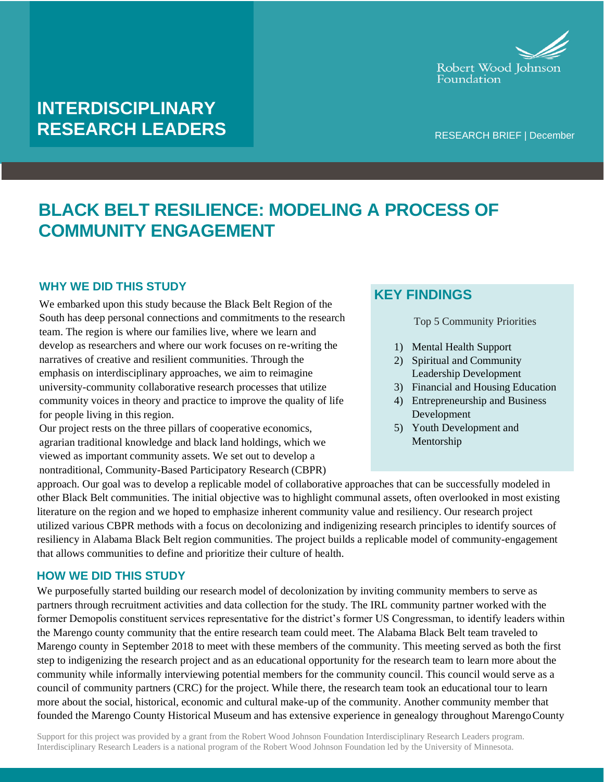

## **INTERDISCIPLINARY RESEARCH LEADERS**

RESEARCH BRIEF | December

# **BLACK BELT RESILIENCE: MODELING A PROCESS OF COMMUNITY ENGAGEMENT**

### **WHY WE DID THIS STUDY**

We embarked upon this study because the Black Belt Region of the South has deep personal connections and commitments to the research team. The region is where our families live, where we learn and develop as researchers and where our work focuses on re-writing the narratives of creative and resilient communities. Through the emphasis on interdisciplinary approaches, we aim to reimagine university-community collaborative research processes that utilize community voices in theory and practice to improve the quality of life for people living in this region.

Our project rests on the three pillars of cooperative economics, agrarian traditional knowledge and black land holdings, which we viewed as important community assets. We set out to develop a nontraditional, Community-Based Participatory Research (CBPR)

## **KEY FINDINGS**

Top 5 Community Priorities

- 1) Mental Health Support
- 2) Spiritual and Community Leadership Development
- 3) Financial and Housing Education
- 4) Entrepreneurship and Business Development
- 5) Youth Development and Mentorship

approach. Our goal was to develop a replicable model of collaborative approaches that can be successfully modeled in other Black Belt communities. The initial objective was to highlight communal assets, often overlooked in most existing literature on the region and we hoped to emphasize inherent community value and resiliency. Our research project utilized various CBPR methods with a focus on decolonizing and indigenizing research principles to identify sources of resiliency in Alabama Black Belt region communities. The project builds a replicable model of community-engagement that allows communities to define and prioritize their culture of health.

### **HOW WE DID THIS STUDY**

We purposefully started building our research model of decolonization by inviting community members to serve as partners through recruitment activities and data collection for the study. The IRL community partner worked with the former Demopolis constituent services representative for the district's former US Congressman, to identify leaders within the Marengo county community that the entire research team could meet. The Alabama Black Belt team traveled to Marengo county in September 2018 to meet with these members of the community. This meeting served as both the first step to indigenizing the research project and as an educational opportunity for the research team to learn more about the community while informally interviewing potential members for the community council. This council would serve as a council of community partners (CRC) for the project. While there, the research team took an educational tour to learn more about the social, historical, economic and cultural make-up of the community. Another community member that founded the Marengo County Historical Museum and has extensive experience in genealogy throughout MarengoCounty

Support for this project was provided by a grant from the Robert Wood Johnson Foundation Interdisciplinary Research Leaders program. Interdisciplinary Research Leaders is a national program of the Robert Wood Johnson Foundation led by the University of Minnesota.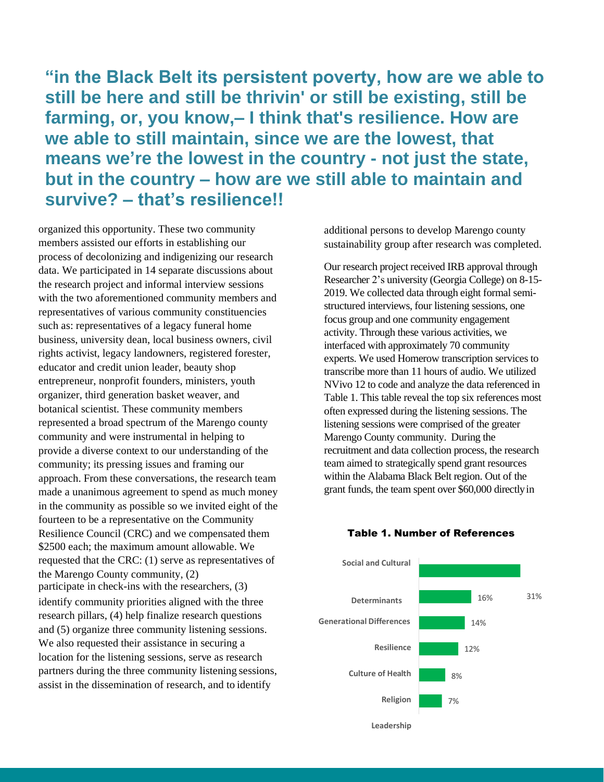**"in the Black Belt its persistent poverty, how are we able to still be here and still be thrivin' or still be existing, still be farming, or, you know,– I think that's resilience. How are we able to still maintain, since we are the lowest, that means we're the lowest in the country - not just the state, but in the country – how are we still able to maintain and survive? – that's resilience!!**

organized this opportunity. These two community members assisted our efforts in establishing our process of decolonizing and indigenizing our research data. We participated in 14 separate discussions about the research project and informal interview sessions with the two aforementioned community members and representatives of various community constituencies such as: representatives of a legacy funeral home business, university dean, local business owners, civil rights activist, legacy landowners, registered forester, educator and credit union leader, beauty shop entrepreneur, nonprofit founders, ministers, youth organizer, third generation basket weaver, and botanical scientist. These community members represented a broad spectrum of the Marengo county community and were instrumental in helping to provide a diverse context to our understanding of the community; its pressing issues and framing our approach. From these conversations, the research team made a unanimous agreement to spend as much money in the community as possible so we invited eight of the fourteen to be a representative on the Community Resilience Council (CRC) and we compensated them \$2500 each; the maximum amount allowable. We requested that the CRC: (1) serve as representatives of the Marengo County community, (2) participate in check-ins with the researchers, (3) identify community priorities aligned with the three research pillars, (4) help finalize research questions and (5) organize three community listening sessions. We also requested their assistance in securing a location for the listening sessions, serve as research partners during the three community listening sessions, assist in the dissemination of research, and to identify

additional persons to develop Marengo county sustainability group after research was completed.

Our research project received IRB approval through Researcher 2's university (Georgia College) on 8-15- 2019. We collected data through eight formal semistructured interviews, four listening sessions, one focus group and one community engagement activity. Through these various activities, we interfaced with approximately 70 community experts. We used Homerow transcription services to transcribe more than 11 hours of audio. We utilized NVivo 12 to code and analyze the data referenced in Table 1. This table reveal the top six references most often expressed during the listening sessions. The listening sessions were comprised of the greater Marengo County community. During the recruitment and data collection process, the research team aimed to strategically spend grant resources within the Alabama Black Belt region. Out of the grant funds, the team spent over \$60,000 directlyin



#### Table 1. Number of References